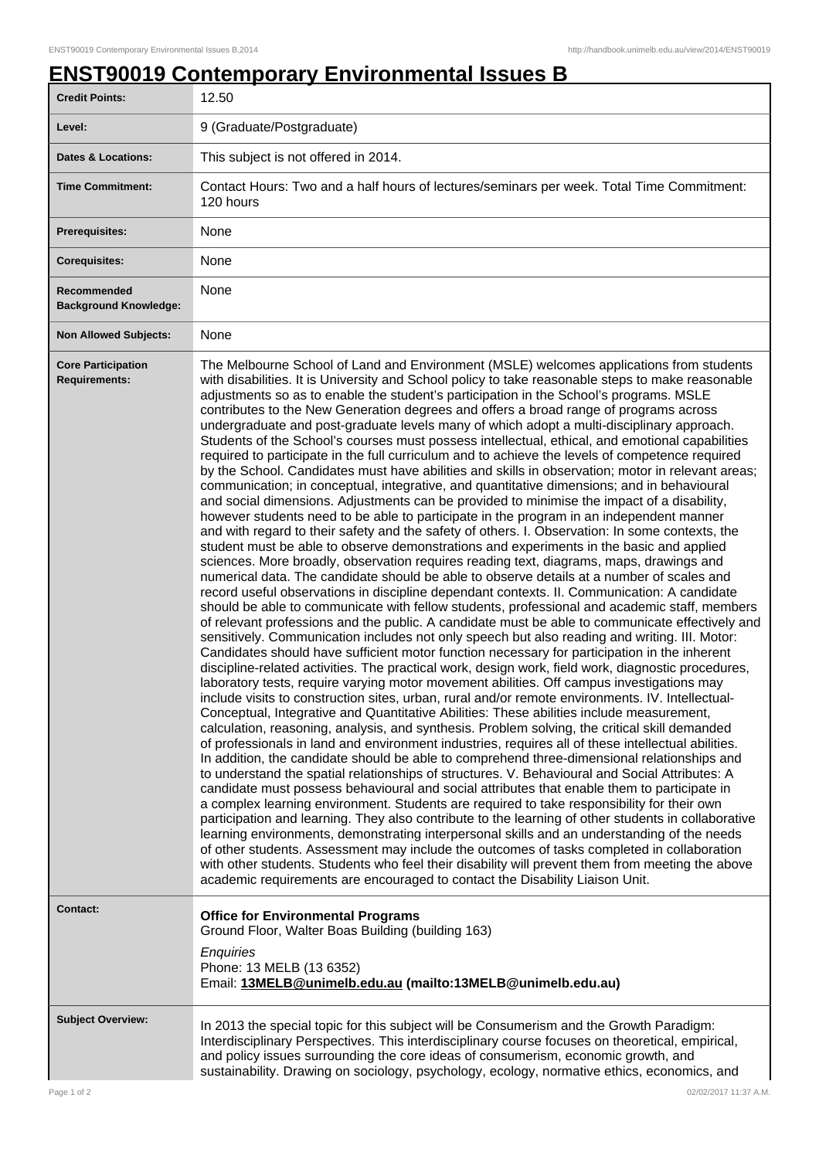## **ENST90019 Contemporary Environmental Issues B**

| <b>Credit Points:</b>                             | 12.50                                                                                                                                                                                                                                                                                                                                                                                                                                                                                                                                                                                                                                                                                                                                                                                                                                                                                                                                                                                                                                                                                                                                                                                                                                                                                                                                                                                                                                                                                                                                                                                                                                                                                                                                                                                                                                                                                                                                                                                                                                                                                                                                                                                                                                                                                                                                                                                                                                                                                                                                                                                                                                                                                                                                                                                                                                                                                                                                                                                                                                                                                                                                                                                                                                                                                                                                                                                                                                                                   |
|---------------------------------------------------|-------------------------------------------------------------------------------------------------------------------------------------------------------------------------------------------------------------------------------------------------------------------------------------------------------------------------------------------------------------------------------------------------------------------------------------------------------------------------------------------------------------------------------------------------------------------------------------------------------------------------------------------------------------------------------------------------------------------------------------------------------------------------------------------------------------------------------------------------------------------------------------------------------------------------------------------------------------------------------------------------------------------------------------------------------------------------------------------------------------------------------------------------------------------------------------------------------------------------------------------------------------------------------------------------------------------------------------------------------------------------------------------------------------------------------------------------------------------------------------------------------------------------------------------------------------------------------------------------------------------------------------------------------------------------------------------------------------------------------------------------------------------------------------------------------------------------------------------------------------------------------------------------------------------------------------------------------------------------------------------------------------------------------------------------------------------------------------------------------------------------------------------------------------------------------------------------------------------------------------------------------------------------------------------------------------------------------------------------------------------------------------------------------------------------------------------------------------------------------------------------------------------------------------------------------------------------------------------------------------------------------------------------------------------------------------------------------------------------------------------------------------------------------------------------------------------------------------------------------------------------------------------------------------------------------------------------------------------------------------------------------------------------------------------------------------------------------------------------------------------------------------------------------------------------------------------------------------------------------------------------------------------------------------------------------------------------------------------------------------------------------------------------------------------------------------------------------------------------|
| Level:                                            | 9 (Graduate/Postgraduate)                                                                                                                                                                                                                                                                                                                                                                                                                                                                                                                                                                                                                                                                                                                                                                                                                                                                                                                                                                                                                                                                                                                                                                                                                                                                                                                                                                                                                                                                                                                                                                                                                                                                                                                                                                                                                                                                                                                                                                                                                                                                                                                                                                                                                                                                                                                                                                                                                                                                                                                                                                                                                                                                                                                                                                                                                                                                                                                                                                                                                                                                                                                                                                                                                                                                                                                                                                                                                                               |
| <b>Dates &amp; Locations:</b>                     | This subject is not offered in 2014.                                                                                                                                                                                                                                                                                                                                                                                                                                                                                                                                                                                                                                                                                                                                                                                                                                                                                                                                                                                                                                                                                                                                                                                                                                                                                                                                                                                                                                                                                                                                                                                                                                                                                                                                                                                                                                                                                                                                                                                                                                                                                                                                                                                                                                                                                                                                                                                                                                                                                                                                                                                                                                                                                                                                                                                                                                                                                                                                                                                                                                                                                                                                                                                                                                                                                                                                                                                                                                    |
| <b>Time Commitment:</b>                           | Contact Hours: Two and a half hours of lectures/seminars per week. Total Time Commitment:<br>120 hours                                                                                                                                                                                                                                                                                                                                                                                                                                                                                                                                                                                                                                                                                                                                                                                                                                                                                                                                                                                                                                                                                                                                                                                                                                                                                                                                                                                                                                                                                                                                                                                                                                                                                                                                                                                                                                                                                                                                                                                                                                                                                                                                                                                                                                                                                                                                                                                                                                                                                                                                                                                                                                                                                                                                                                                                                                                                                                                                                                                                                                                                                                                                                                                                                                                                                                                                                                  |
| <b>Prerequisites:</b>                             | None                                                                                                                                                                                                                                                                                                                                                                                                                                                                                                                                                                                                                                                                                                                                                                                                                                                                                                                                                                                                                                                                                                                                                                                                                                                                                                                                                                                                                                                                                                                                                                                                                                                                                                                                                                                                                                                                                                                                                                                                                                                                                                                                                                                                                                                                                                                                                                                                                                                                                                                                                                                                                                                                                                                                                                                                                                                                                                                                                                                                                                                                                                                                                                                                                                                                                                                                                                                                                                                                    |
| <b>Corequisites:</b>                              | None                                                                                                                                                                                                                                                                                                                                                                                                                                                                                                                                                                                                                                                                                                                                                                                                                                                                                                                                                                                                                                                                                                                                                                                                                                                                                                                                                                                                                                                                                                                                                                                                                                                                                                                                                                                                                                                                                                                                                                                                                                                                                                                                                                                                                                                                                                                                                                                                                                                                                                                                                                                                                                                                                                                                                                                                                                                                                                                                                                                                                                                                                                                                                                                                                                                                                                                                                                                                                                                                    |
| Recommended<br><b>Background Knowledge:</b>       | None                                                                                                                                                                                                                                                                                                                                                                                                                                                                                                                                                                                                                                                                                                                                                                                                                                                                                                                                                                                                                                                                                                                                                                                                                                                                                                                                                                                                                                                                                                                                                                                                                                                                                                                                                                                                                                                                                                                                                                                                                                                                                                                                                                                                                                                                                                                                                                                                                                                                                                                                                                                                                                                                                                                                                                                                                                                                                                                                                                                                                                                                                                                                                                                                                                                                                                                                                                                                                                                                    |
| <b>Non Allowed Subjects:</b>                      | None                                                                                                                                                                                                                                                                                                                                                                                                                                                                                                                                                                                                                                                                                                                                                                                                                                                                                                                                                                                                                                                                                                                                                                                                                                                                                                                                                                                                                                                                                                                                                                                                                                                                                                                                                                                                                                                                                                                                                                                                                                                                                                                                                                                                                                                                                                                                                                                                                                                                                                                                                                                                                                                                                                                                                                                                                                                                                                                                                                                                                                                                                                                                                                                                                                                                                                                                                                                                                                                                    |
| <b>Core Participation</b><br><b>Requirements:</b> | The Melbourne School of Land and Environment (MSLE) welcomes applications from students<br>with disabilities. It is University and School policy to take reasonable steps to make reasonable<br>adjustments so as to enable the student's participation in the School's programs. MSLE<br>contributes to the New Generation degrees and offers a broad range of programs across<br>undergraduate and post-graduate levels many of which adopt a multi-disciplinary approach.<br>Students of the School's courses must possess intellectual, ethical, and emotional capabilities<br>required to participate in the full curriculum and to achieve the levels of competence required<br>by the School. Candidates must have abilities and skills in observation; motor in relevant areas;<br>communication; in conceptual, integrative, and quantitative dimensions; and in behavioural<br>and social dimensions. Adjustments can be provided to minimise the impact of a disability,<br>however students need to be able to participate in the program in an independent manner<br>and with regard to their safety and the safety of others. I. Observation: In some contexts, the<br>student must be able to observe demonstrations and experiments in the basic and applied<br>sciences. More broadly, observation requires reading text, diagrams, maps, drawings and<br>numerical data. The candidate should be able to observe details at a number of scales and<br>record useful observations in discipline dependant contexts. II. Communication: A candidate<br>should be able to communicate with fellow students, professional and academic staff, members<br>of relevant professions and the public. A candidate must be able to communicate effectively and<br>sensitively. Communication includes not only speech but also reading and writing. III. Motor:<br>Candidates should have sufficient motor function necessary for participation in the inherent<br>discipline-related activities. The practical work, design work, field work, diagnostic procedures,<br>laboratory tests, require varying motor movement abilities. Off campus investigations may<br>include visits to construction sites, urban, rural and/or remote environments. IV. Intellectual-<br>Conceptual, Integrative and Quantitative Abilities: These abilities include measurement,<br>calculation, reasoning, analysis, and synthesis. Problem solving, the critical skill demanded<br>of professionals in land and environment industries, requires all of these intellectual abilities.<br>In addition, the candidate should be able to comprehend three-dimensional relationships and<br>to understand the spatial relationships of structures. V. Behavioural and Social Attributes: A<br>candidate must possess behavioural and social attributes that enable them to participate in<br>a complex learning environment. Students are required to take responsibility for their own<br>participation and learning. They also contribute to the learning of other students in collaborative<br>learning environments, demonstrating interpersonal skills and an understanding of the needs<br>of other students. Assessment may include the outcomes of tasks completed in collaboration<br>with other students. Students who feel their disability will prevent them from meeting the above<br>academic requirements are encouraged to contact the Disability Liaison Unit. |
| <b>Contact:</b>                                   | <b>Office for Environmental Programs</b><br>Ground Floor, Walter Boas Building (building 163)<br>Enquiries<br>Phone: 13 MELB (13 6352)<br>Email: 13MELB@unimelb.edu.au (mailto:13MELB@unimelb.edu.au)                                                                                                                                                                                                                                                                                                                                                                                                                                                                                                                                                                                                                                                                                                                                                                                                                                                                                                                                                                                                                                                                                                                                                                                                                                                                                                                                                                                                                                                                                                                                                                                                                                                                                                                                                                                                                                                                                                                                                                                                                                                                                                                                                                                                                                                                                                                                                                                                                                                                                                                                                                                                                                                                                                                                                                                                                                                                                                                                                                                                                                                                                                                                                                                                                                                                   |
| <b>Subject Overview:</b>                          | In 2013 the special topic for this subject will be Consumerism and the Growth Paradigm:<br>Interdisciplinary Perspectives. This interdisciplinary course focuses on theoretical, empirical,<br>and policy issues surrounding the core ideas of consumerism, economic growth, and<br>sustainability. Drawing on sociology, psychology, ecology, normative ethics, economics, and                                                                                                                                                                                                                                                                                                                                                                                                                                                                                                                                                                                                                                                                                                                                                                                                                                                                                                                                                                                                                                                                                                                                                                                                                                                                                                                                                                                                                                                                                                                                                                                                                                                                                                                                                                                                                                                                                                                                                                                                                                                                                                                                                                                                                                                                                                                                                                                                                                                                                                                                                                                                                                                                                                                                                                                                                                                                                                                                                                                                                                                                                         |